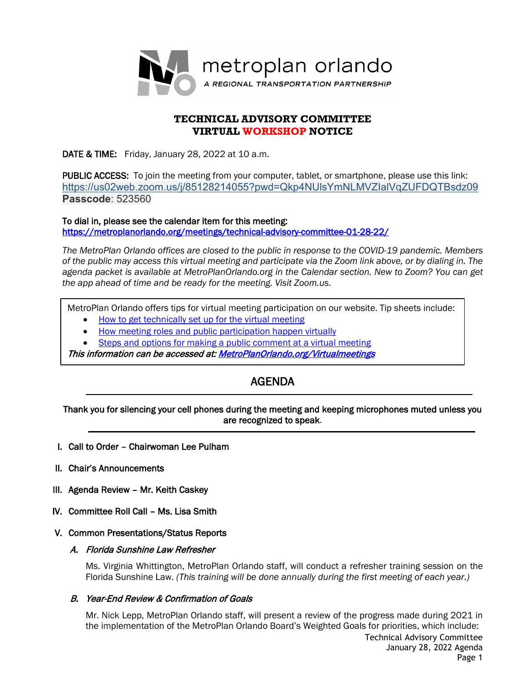

# **TECHNICAL ADVISORY COMMITTEE VIRTUAL WORKSHOP NOTICE**

DATE & TIME: Friday, January 28, 2022 at 10 a.m.

PUBLIC ACCESS: To join the meeting from your computer, tablet, or smartphone, please use this link: <https://us02web.zoom.us/j/85128214055?pwd=Qkp4NUlsYmNLMVZIalVqZUFDQTBsdz09> **Passcode**: 523560

To dial in, please see the calendar item for this meeting: <https://metroplanorlando.org/meetings/technical-advisory-committee-01-28-22/>

*The MetroPlan Orlando offices are closed to the public in response to the COVID-19 pandemic. Members of the public may access this virtual meeting and participate via the Zoom link above, or by dialing in. The agenda packet is available at MetroPlanOrlando.org in the Calendar section. New to Zoom? You can get the app ahead of time and be ready for the meeting. Visit Zoom.us.* 

MetroPlan Orlando offers tips for virtual meeting participation on our website. Tip sheets include:

- [How to get technically set up for the virtual meeting](https://metroplanorlando.org/wp-content/uploads/VM_TipsSheet_SetUp_Public-FINAL.pdf)
- [How meeting roles and public participation happen virtually](https://metroplanorlando.org/wp-content/uploads/VM_TipsSheet_MeetingRolesAndPublicComment-FINAL.pdf)
- [Steps and options for making a public comment at a virtual meeting](https://metroplanorlando.org/wp-content/uploads/Virtual-Meetings-Public-Comment-Procedures-FINAL.pdf)

This information can be accessed at[: MetroPlanOrlando.org/Virtualmeetings](https://metroplanorlando.org/board-committees/virtual-meetings/) 

# AGENDA

Thank you for silencing your cell phones during the meeting and keeping microphones muted unless you are recognized to speak.

- I. Call to Order Chairwoman Lee Pulham
- II. Chair's Announcements

l

- III. Agenda Review Mr. Keith Caskey
- IV. Committee Roll Call Ms. Lisa Smith
- V. Common Presentations/Status Reports
	- A. Florida Sunshine Law Refresher

Ms. Virginia Whittington, MetroPlan Orlando staff, will conduct a refresher training session on the Florida Sunshine Law. *(This training will be done annually during the first meeting of each year.)*

#### B. Year-End Review & Confirmation of Goals

Technical Advisory Committee Mr. Nick Lepp, MetroPlan Orlando staff, will present a review of the progress made during 2021 in the implementation of the MetroPlan Orlando Board's Weighted Goals for priorities, which include: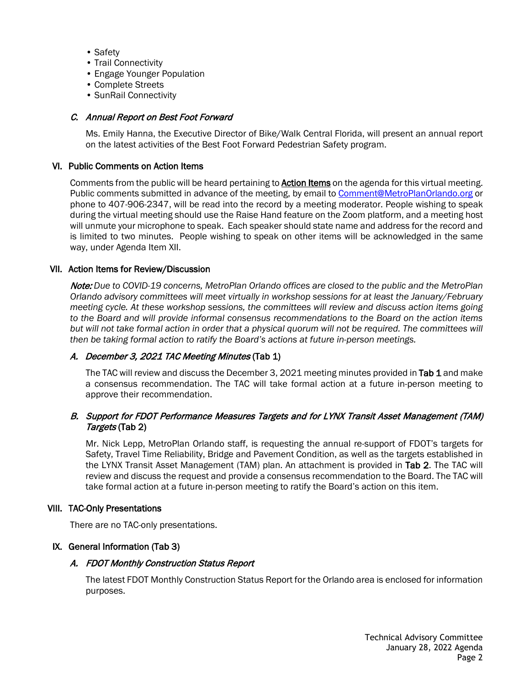- Safety
- Trail Connectivity
- Engage Younger Population
- Complete Streets
- SunRail Connectivity

### C. Annual Report on Best Foot Forward

Ms. Emily Hanna, the Executive Director of Bike/Walk Central Florida, will present an annual report on the latest activities of the Best Foot Forward Pedestrian Safety program.

#### VI. Public Comments on Action Items

Comments from the public will be heard pertaining to **Action Items** on the agenda for this virtual meeting. Public comments submitted in advance of the meeting, by email to [Comment@MetroPlanOrlando.org](mailto:Comment@MetroPlanOrlando.org) or phone to 407-906-2347, will be read into the record by a meeting moderator. People wishing to speak during the virtual meeting should use the Raise Hand feature on the Zoom platform, and a meeting host will unmute your microphone to speak. Each speaker should state name and address for the record and is limited to two minutes. People wishing to speak on other items will be acknowledged in the same way, under Agenda Item XII.

#### VII. Action Items for Review/Discussion

Note: *Due to COVID-19 concerns, MetroPlan Orlando offices are closed to the public and the MetroPlan Orlando advisory committees will meet virtually in workshop sessions for at least the January/February meeting cycle. At these workshop sessions, the committees will review and discuss action items going to the Board and will provide informal consensus recommendations to the Board on the action items but will not take formal action in order that a physical quorum will not be required. The committees will then be taking formal action to ratify the Board's actions at future in-person meetings.*

# A. December 3, 2021 TAC Meeting Minutes (Tab 1)

The TAC will review and discuss the December 3, 2021 meeting minutes provided in Tab 1 and make a consensus recommendation. The TAC will take formal action at a future in-person meeting to approve their recommendation.

# B. Support for FDOT Performance Measures Targets and for LYNX Transit Asset Management (TAM) Targets (Tab 2)

Mr. Nick Lepp, MetroPlan Orlando staff, is requesting the annual re-support of FDOT's targets for Safety, Travel Time Reliability, Bridge and Pavement Condition, as well as the targets established in the LYNX Transit Asset Management (TAM) plan. An attachment is provided in Tab 2. The TAC will review and discuss the request and provide a consensus recommendation to the Board. The TAC will take formal action at a future in-person meeting to ratify the Board's action on this item.

#### VIII. TAC-Only Presentations

There are no TAC-only presentations.

# IX. General Information (Tab 3)

# A. FDOT Monthly Construction Status Report

The latest FDOT Monthly Construction Status Report for the Orlando area is enclosed for information purposes.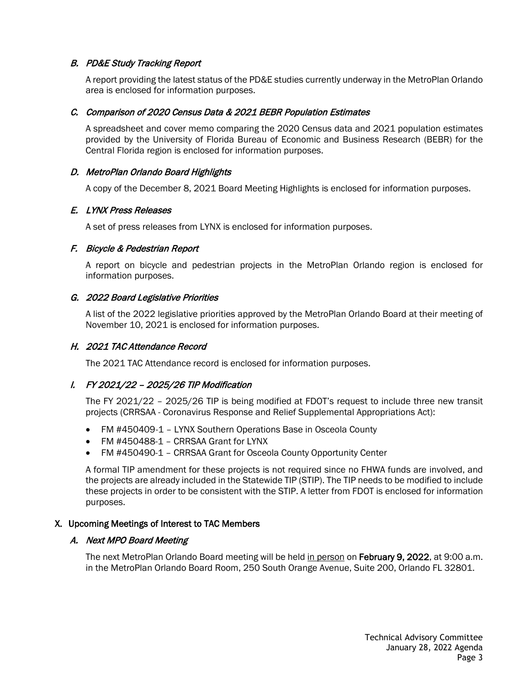# B. PD&E Study Tracking Report

A report providing the latest status of the PD&E studies currently underway in the MetroPlan Orlando area is enclosed for information purposes.

# C. Comparison of 2020 Census Data & 2021 BEBR Population Estimates

A spreadsheet and cover memo comparing the 2020 Census data and 2021 population estimates provided by the University of Florida Bureau of Economic and Business Research (BEBR) for the Central Florida region is enclosed for information purposes.

# D. MetroPlan Orlando Board Highlights

A copy of the December 8, 2021 Board Meeting Highlights is enclosed for information purposes.

# E. LYNX Press Releases

A set of press releases from LYNX is enclosed for information purposes.

# F. Bicycle & Pedestrian Report

A report on bicycle and pedestrian projects in the MetroPlan Orlando region is enclosed for information purposes.

# G. 2022 Board Legislative Priorities

A list of the 2022 legislative priorities approved by the MetroPlan Orlando Board at their meeting of November 10, 2021 is enclosed for information purposes.

# H. 2021 TAC Attendance Record

The 2021 TAC Attendance record is enclosed for information purposes.

# I. FY 2021/22 – 2025/26 TIP Modification

The FY 2021/22 – 2025/26 TIP is being modified at FDOT's request to include three new transit projects (CRRSAA - Coronavirus Response and Relief Supplemental Appropriations Act):

- FM #450409-1 LYNX Southern Operations Base in Osceola County
- FM #450488-1 CRRSAA Grant for LYNX
- FM #450490-1 CRRSAA Grant for Osceola County Opportunity Center

A formal TIP amendment for these projects is not required since no FHWA funds are involved, and the projects are already included in the Statewide TIP (STIP). The TIP needs to be modified to include these projects in order to be consistent with the STIP. A letter from FDOT is enclosed for information purposes.

# X. Upcoming Meetings of Interest to TAC Members

# A. Next MPO Board Meeting

The next MetroPlan Orlando Board meeting will be held in person on February 9, 2022, at 9:00 a.m. in the MetroPlan Orlando Board Room, 250 South Orange Avenue, Suite 200, Orlando FL 32801.